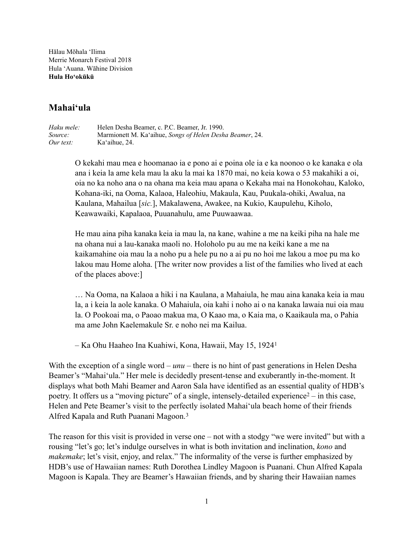Hālau Mōhala 'Ilima Merrie Monarch Festival 2018 Hula 'Auana. Wāhine Division **Hula Hoʻokūkū**

# **Mahaiʻula**

*Haku mele:* Helen Desha Beamer, c. P.C. Beamer, Jr. 1990. *Source:* Marmionett M. Kaʻaihue, *Songs of Helen Desha Beamer*, 24. *Our text:* Ka'aihue, 24.

> O kekahi mau mea e hoomanao ia e pono ai e poina ole ia e ka noonoo o ke kanaka e ola ana i keia la ame kela mau la aku la mai ka 1870 mai, no keia kowa o 53 makahiki a oi, oia no ka noho ana o na ohana ma keia mau apana o Kekaha mai na Honokohau, Kaloko, Kohana-iki, na Ooma, Kalaoa, Haleohiu, Makaula, Kau, Puukala-ohiki, Awalua, na Kaulana, Mahailua [*sic.*], Makalawena, Awakee, na Kukio, Kaupulehu, Kiholo, Keawawaiki, Kapalaoa, Puuanahulu, ame Puuwaawaa.

> He mau aina piha kanaka keia ia mau la, na kane, wahine a me na keiki piha na hale me na ohana nui a lau-kanaka maoli no. Holoholo pu au me na keiki kane a me na kaikamahine oia mau la a noho pu a hele pu no a ai pu no hoi me lakou a moe pu ma ko lakou mau Home aloha. [The writer now provides a list of the families who lived at each of the places above:]

> … Na Ooma, na Kalaoa a hiki i na Kaulana, a Mahaiula, he mau aina kanaka keia ia mau la, a i keia la aole kanaka. O Mahaiula, oia kahi i noho ai o na kanaka lawaia nui oia mau la. O Pookoai ma, o Paoao makua ma, O Kaao ma, o Kaia ma, o Kaaikaula ma, o Pahia ma ame John Kaelemakule Sr. e noho nei ma Kailua.

<span id="page-0-2"></span><span id="page-0-1"></span><span id="page-0-0"></span>– Ka Ohu Haaheo Ina Kuahiwi, Kona, Hawaii, May 15, 1924[1](#page-8-0)

With the exception of a single word – *unu* – there is no hint of past generations in Helen Desha Beamer's "Mahaiʻula." Her mele is decidedly present-tense and exuberantly in-the-moment. It displays what both Mahi Beamer and Aaron Sala have identified as an essential quality of HDB's poetry.It offers us a "moving picture" of a single, intensely-detailed experience $2 2 -$  in this case, Helen and Pete Beamer's visit to the perfectly isolated Mahaiʻula beach home of their friends Alfred Kapala and Ruth Puanani Magoon. [3](#page-8-2)

The reason for this visit is provided in verse one – not with a stodgy "we were invited" but with a rousing "let's go; let's indulge ourselves in what is both invitation and inclination, *kono* and *makemake*; let's visit, enjoy, and relax." The informality of the verse is further emphasized by HDB's use of Hawaiian names: Ruth Dorothea Lindley Magoon is Puanani. Chun Alfred Kapala Magoon is Kapala. They are Beamer's Hawaiian friends, and by sharing their Hawaiian names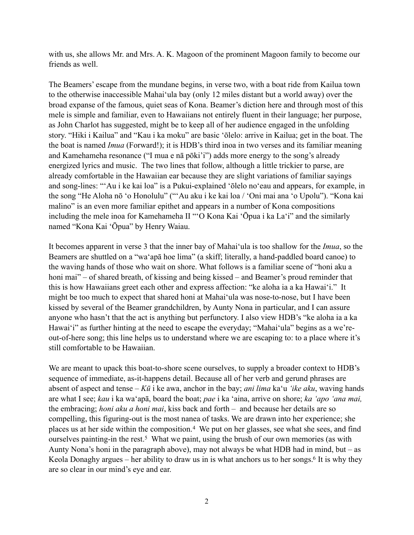with us, she allows Mr. and Mrs. A. K. Magoon of the prominent Magoon family to become our friends as well.

The Beamers' escape from the mundane begins, in verse two, with a boat ride from Kailua town to the otherwise inaccessible Mahaiʻula bay (only 12 miles distant but a world away) over the broad expanse of the famous, quiet seas of Kona. Beamer's diction here and through most of this mele is simple and familiar, even to Hawaiians not entirely fluent in their language; her purpose, as John Charlot has suggested, might be to keep all of her audience engaged in the unfolding story. "Hiki i Kailua" and "Kau i ka moku" are basic ʻōlelo: arrive in Kailua; get in the boat. The the boat is named *Imua* (Forward!); it is HDB's third inoa in two verses and its familiar meaning and Kamehameha resonance ("I mua e nā pōki'i") adds more energy to the song's already energized lyrics and music. The two lines that follow, although a little trickier to parse, are already comfortable in the Hawaiian ear because they are slight variations of familiar sayings and song-lines: "'Au i ke kai loa" is a Pukui-explained ʻōlelo noʻeau and appears, for example, in the song "He Aloha nō ʻo Honolulu" ("ʻAu aku i ke kai loa / ʻOni mai ana ʻo Upolu"). "Kona kai malino" is an even more familiar epithet and appears in a number of Kona compositions including the mele inoa for Kamehameha II "ʻO Kona Kai ʻŌpua i ka Laʻi" and the similarly named "Kona Kai ʻŌpua" by Henry Waiau.

It becomes apparent in verse 3 that the inner bay of Mahaiʻula is too shallow for the *Imua*, so the Beamers are shuttled on a "waʻapā hoe lima" (a skiff; literally, a hand-paddled board canoe) to the waving hands of those who wait on shore. What follows is a familiar scene of "honi aku a honi mai" – of shared breath, of kissing and being kissed – and Beamer's proud reminder that this is how Hawaiians greet each other and express affection: "ke aloha ia a ka Hawaiʻi." It might be too much to expect that shared honi at Mahaiʻula was nose-to-nose, but I have been kissed by several of the Beamer grandchildren, by Aunty Nona in particular, and I can assure anyone who hasn't that the act is anything but perfunctory. I also view HDB's "ke aloha ia a ka Hawaiʻi" as further hinting at the need to escape the everyday; "Mahai'ula" begins as a we'reout-of-here song; this line helps us to understand where we are escaping to: to a place where it's still comfortable to be Hawaiian.

<span id="page-1-2"></span><span id="page-1-1"></span><span id="page-1-0"></span>We are meant to upack this boat-to-shore scene ourselves, to supply a broader context to HDB's sequence of immediate, as-it-happens detail. Because all of her verb and gerund phrases are absent of aspect and tense – *Kū* i ke awa, anchor in the bay; *ani lima* kaʻu *'ike aku*, waving hands are what I see; *kau* i ka waʻapā, board the boat; *pae* i ka ʻaina, arrive on shore; *ka ʻapo ʻana mai,* the embracing; *honi aku a honi mai*, kiss back and forth – and because her details are so compelling, this figuring-out is the most nanea of tasks. We are drawn into her experience; she placesus at her side within the composition.<sup>[4](#page-9-0)</sup> We put on her glasses, see what she sees, and find ourselvespainting-in the rest.<sup>[5](#page-9-1)</sup> What we paint, using the brush of our own memories (as with Aunty Nona's honi in the paragraph above), may not always be what HDB had in mind, but – as Keola Donaghy argues – her ability to draw us in is what anchors us to her songs[.](#page-9-2)<sup>[6](#page-9-2)</sup> It is why they are so clear in our mind's eye and ear.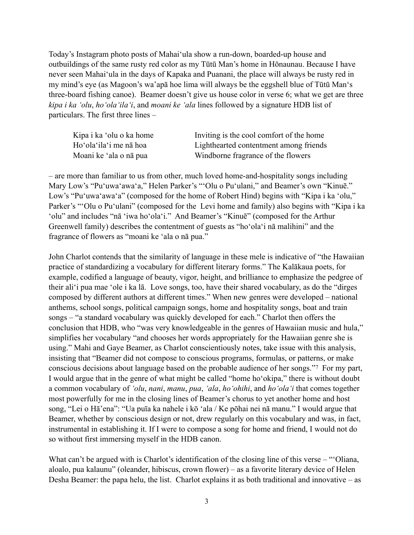Today's Instagram photo posts of Mahaiʻula show a run-down, boarded-up house and outbuildings of the same rusty red color as my Tūtū Man's home in Hōnaunau. Because I have never seen Mahaiʻula in the days of Kapaka and Puanani, the place will always be rusty red in my mind's eye (as Magoon's wa'apā hoe lima will always be the eggshell blue of Tūtū Manʻs three-board fishing canoe). Beamer doesn't give us house color in verse 6; what we get are three *kipa i ka ʻolu*, *hoʻolaʻilaʻi*, and *moani ke 'ala* lines followed by a signature HDB list of particulars. The first three lines –

| Kipa i ka 'olu o ka home | Inviting is the cool comfort of the home |
|--------------------------|------------------------------------------|
| Ho'ola'ila'i me na hoa   | Lighthearted contentment among friends   |
| Moani ke 'ala o nã pua   | Windborne fragrance of the flowers       |

– are more than familiar to us from other, much loved home-and-hospitality songs including Mary Low's "Puʻuwaʻawaʻa," Helen Parker's "ʻOlu o Puʻulani," and Beamer's own "Kinuē." Low's "Puʻuwaʻawaʻa" (composed for the home of Robert Hind) begins with "Kipa i ka ʻolu," Parker's "ʻOlu o Puʻulani" (composed for the Levi home and family) also begins with "Kipa i ka ʻolu" and includes "nā ʻiwa hoʻolaʻi." And Beamer's "Kinuē" (composed for the Arthur Greenwell family) describes the contentment of guests as "hoʻolaʻi nā malihini" and the fragrance of flowers as "moani ke ʻala o nā pua."

John Charlot contends that the similarity of language in these mele is indicative of "the Hawaiian practice of standardizing a vocabulary for different literary forms." The Kalākaua poets, for example, codified a language of beauty, vigor, height, and brilliance to emphasize the pedgree of their aliʻi pua mae ʻole i ka lā. Love songs, too, have their shared vocabulary, as do the "dirges composed by different authors at different times." When new genres were developed – national anthems, school songs, political campaign songs, home and hospitality songs, boat and train songs – "a standard vocabulary was quickly developed for each." Charlot then offers the conclusion that HDB, who "was very knowledgeable in the genres of Hawaiian music and hula," simplifies her vocabulary "and chooses her words appropriately for the Hawaiian genre she is using." Mahi and Gaye Beamer, as Charlot conscientiously notes, take issue with this analysis, insisting that "Beamer did not compose to conscious programs, formulas, or patterns, or make consciousdecisions about language based on the probable audience of her songs."<sup>[7](#page-9-3)</sup> For my part, I would argue that in the genre of what might be called "home hoʻokipa," there is without doubt a common vocabulary of *ʻolu*, *nani*, *manu*, *pua*, *ʻala*, *hoʻohihi*, and *hoʻolaʻi* that comes together most powerfully for me in the closing lines of Beamer's chorus to yet another home and host song, "Lei o Hā'ena": "Ua puīa ka nahele i kō ʻala / Ke pōhai nei nā manu." I would argue that Beamer, whether by conscious design or not, drew regularly on this vocabulary and was, in fact, instrumental in establishing it. If I were to compose a song for home and friend, I would not do so without first immersing myself in the HDB canon.

<span id="page-2-0"></span>What can't be argued with is Charlot's identification of the closing line of this verse – "Oliana, aloalo, pua kalaunu" (oleander, hibiscus, crown flower) – as a favorite literary device of Helen Desha Beamer: the papa helu, the list. Charlot explains it as both traditional and innovative – as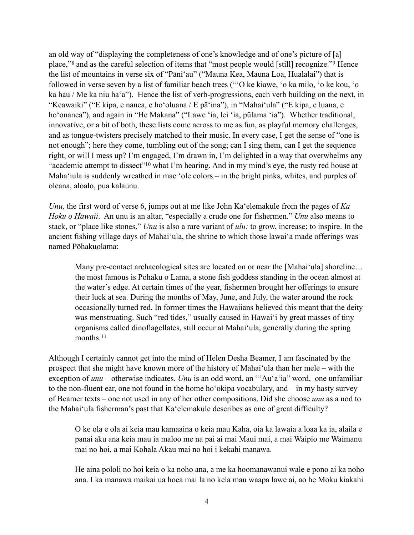<span id="page-3-1"></span><span id="page-3-0"></span>an old way of "displaying the completeness of one's knowledge and of one's picture of [a] place,"<sup>8</sup>and as the careful selection of items that ["](#page-9-5)most people would [still] recognize."<sup>9</sup> Hence the list of mountains in verse six of "Pāniʻau" ("Mauna Kea, Mauna Loa, Hualalai") that is followed in verse seven by a list of familiar beach trees ("'O ke kiawe, ʻo ka milo, ʻo ke kou, ʻo ka hau / Me ka niu haʻa"). Hence the list of verb-progressions, each verb building on the next, in "Keawaiki" ("E kipa, e nanea, e hoʻoluana / E pāʻina"), in "Mahaiʻula" ("E kipa, e luana, e ho'onanea"), and again in "He Makana" ("Lawe 'ia, lei 'ia, pūlama 'ia"). Whether traditional, innovative, or a bit of both, these lists come across to me as fun, as playful memory challenges, and as tongue-twisters precisely matched to their music. In every case, I get the sense of "one is not enough"; here they come, tumbling out of the song; can I sing them, can I get the sequence right, or will I mess up? I'm engaged, I'm drawn in, I'm delighted in a way that overwhelms any "academicattempt to dissect"<sup>[10](#page-9-6)</sup> what I'm hearing. And in my mind's eye, the rusty red house at Mahaʻiula is suddenly wreathed in mae ʻole colors – in the bright pinks, whites, and purples of oleana, aloalo, pua kalaunu.

<span id="page-3-2"></span>*Unu,* the first word of verse 6, jumps out at me like John Kaʻelemakule from the pages of *Ka Hoku o Hawaii*. An unu is an altar, "especially a crude one for fishermen." *Unu* also means to stack, or "place like stones." *Unu* is also a rare variant of *ulu:* to grow, increase; to inspire. In the ancient fishing village days of Mahaiʻula, the shrine to which those lawaiʻa made offerings was named Pōhakuolama:

Many pre-contact archaeological sites are located on or near the [Mahai'ula] shoreline... the most famous is Pohaku o Lama, a stone fish goddess standing in the ocean almost at the water's edge. At certain times of the year, fishermen brought her offerings to ensure their luck at sea. During the months of May, June, and July, the water around the rock occasionally turned red. In former times the Hawaiians believed this meant that the deity was menstruating. Such "red tides," usually caused in Hawai'i by great masses of tiny organisms called dinoflagellates, still occur at Mahaiʻula, generally during the spring months.<sup>[11](#page-9-7)</sup>

<span id="page-3-3"></span>Although I certainly cannot get into the mind of Helen Desha Beamer, I am fascinated by the prospect that she might have known more of the history of Mahaiʻula than her mele – with the exception of *unu* – otherwise indicates. *Unu* is an odd word, an "'Auʻaʻia" word, one unfamiliar to the non-fluent ear, one not found in the home hoʻokipa vocabulary, and – in my hasty survey of Beamer texts – one not used in any of her other compositions. Did she choose *unu* as a nod to the Mahaiʻula fisherman's past that Kaʻelemakule describes as one of great difficulty?

O ke ola e ola ai keia mau kamaaina o keia mau Kaha, oia ka lawaia a loaa ka ia, alaila e panai aku ana keia mau ia maloo me na pai ai mai Maui mai, a mai Waipio me Waimanu mai no hoi, a mai Kohala Akau mai no hoi i kekahi manawa.

He aina pololi no hoi keia o ka noho ana, a me ka hoomanawanui wale e pono ai ka noho ana. I ka manawa maikai ua hoea mai la no kela mau waapa lawe ai, ao he Moku kiakahi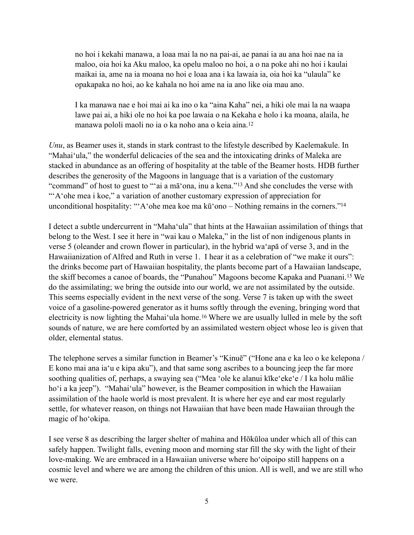no hoi i kekahi manawa, a loaa mai la no na pai-ai, ae panai ia au ana hoi nae na ia maloo, oia hoi ka Aku maloo, ka opelu maloo no hoi, a o na poke ahi no hoi i kaulai maikai ia, ame na ia moana no hoi e loaa ana i ka lawaia ia, oia hoi ka "ulaula" ke opakapaka no hoi, ao ke kahala no hoi ame na ia ano like oia mau ano.

<span id="page-4-2"></span><span id="page-4-1"></span><span id="page-4-0"></span>I ka manawa nae e hoi mai ai ka ino o ka "aina Kaha" nei, a hiki ole mai la na waapa lawe pai ai, a hiki ole no hoi ka poe lawaia o na Kekaha e holo i ka moana, alaila, he manawa pololi maoli no ia o ka noho ana o keia aina.[12](#page-9-8)

*Unu*, as Beamer uses it, stands in stark contrast to the lifestyle described by Kaelemakule. In "Mahaiʻula," the wonderful delicacies of the sea and the intoxicating drinks of Maleka are stacked in abundance as an offering of hospitality at the table of the Beamer hosts. HDB further describes the generosity of the Magoons in language that is a variation of the customary "command"of host to guest to "'ai a mā'ona, inu a kena."<sup>[13](#page-9-9)</sup> And she concludes the verse with "ʻAʻohe mea i koe," a variation of another customary expression of appreciation for unconditional hospitality: ["](#page-10-0)'A'ohe mea koe ma kū'ono – Nothing remains in the corners."<sup>[14](#page-10-0)</sup>

<span id="page-4-3"></span>I detect a subtle undercurrent in "Mahaʻula" that hints at the Hawaiian assimilation of things that belong to the West. I see it here in "wai kau o Maleka," in the list of non indigenous plants in verse 5 (oleander and crown flower in particular), in the hybrid waʻapā of verse 3, and in the Hawaiianization of Alfred and Ruth in verse 1. I hear it as a celebration of "we make it ours": the drinks become part of Hawaiian hospitality, the plants become part of a Hawaiian landscape, theskiff becomes a canoe of boards, the "Punahou" Magoons become Kapaka and Puanani.<sup>[15](#page-10-1)</sup> We do the assimilating; we bring the outside into our world, we are not assimilated by the outside. This seems especially evident in the next verse of the song. Verse 7 is taken up with the sweet voice of a gasoline-powered generator as it hums softly through the evening, bringing word that electricityis now lighting the Mahai'ula home.<sup>[16](#page-10-2)</sup> Where we are usually lulled in mele by the soft sounds of nature, we are here comforted by an assimilated western object whose leo is given that older, elemental status.

<span id="page-4-4"></span>The telephone serves a similar function in Beamer's "Kinuē" ("Hone ana e ka leo o ke kelepona / E kono mai ana iaʻu e kipa aku"), and that same song ascribes to a bouncing jeep the far more soothing qualities of, perhaps, a swaying sea ("Mea ʻole ke alanui kīkeʻekeʻe / I ka holu mālie hoʻi a ka jeep"). "Mahaiʻula" however, is the Beamer composition in which the Hawaiian assimilation of the haole world is most prevalent. It is where her eye and ear most regularly settle, for whatever reason, on things not Hawaiian that have been made Hawaiian through the magic of hoʻokipa.

I see verse 8 as describing the larger shelter of mahina and Hōkūloa under which all of this can safely happen. Twilight falls, evening moon and morning star fill the sky with the light of their love-making. We are embraced in a Hawaiian universe where hoʻoipoipo still happens on a cosmic level and where we are among the children of this union. All is well, and we are still who we were.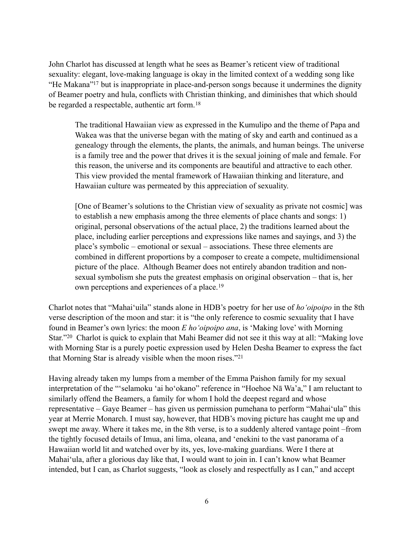John Charlot has discussed at length what he sees as Beamer's reticent view of traditional sexuality: elegant, love-making language is okay in the limited context of a wedding song like ["](#page-10-3)He Makana"<sup>[17](#page-10-3)</sup> but is inappropriate in place-and-person songs because it undermines the dignity of Beamer poetry and hula, conflicts with Christian thinking, and diminishes that which should be regarded a respectable, authentic art form. [18](#page-10-4)

<span id="page-5-1"></span><span id="page-5-0"></span>The traditional Hawaiian view as expressed in the Kumulipo and the theme of Papa and Wakea was that the universe began with the mating of sky and earth and continued as a genealogy through the elements, the plants, the animals, and human beings. The universe is a family tree and the power that drives it is the sexual joining of male and female. For this reason, the universe and its components are beautiful and attractive to each other. This view provided the mental framework of Hawaiian thinking and literature, and Hawaiian culture was permeated by this appreciation of sexuality.

<span id="page-5-2"></span>[One of Beamer's solutions to the Christian view of sexuality as private not cosmic] was to establish a new emphasis among the three elements of place chants and songs: 1) original, personal observations of the actual place, 2) the traditions learned about the place, including earlier perceptions and expressions like names and sayings, and 3) the place's symbolic – emotional or sexual – associations. These three elements are combined in different proportions by a composer to create a compete, multidimensional picture of the place. Although Beamer does not entirely abandon tradition and nonsexual symbolism she puts the greatest emphasis on original observation – that is, her own perceptions and experiences of a place.[19](#page-10-5)

<span id="page-5-3"></span>Charlot notes that "Mahaiʻuila" stands alone in HDB's poetry for her use of *hoʻoipoipo* in the 8th verse description of the moon and star: it is "the only reference to cosmic sexuality that I have found in Beamer's own lyrics: the moon *E hoʻoipoipo ana*, is 'Making love' with Morning Star."<sup>20</sup>Charlot is quick to explain that Mahi Beamer did not see it this way at all: "Making love with Morning Star is a purely poetic expression used by Helen Desha Beamer to express the fact that Morning Star is already visible when the moon rises."<sup>21</sup>

<span id="page-5-4"></span>Having already taken my lumps from a member of the Emma Paishon family for my sexual interpretation of the "ʻselamoku 'ai hoʻokano" reference in "Hoehoe Nā Wa'a," I am reluctant to similarly offend the Beamers, a family for whom I hold the deepest regard and whose representative – Gaye Beamer – has given us permission pumehana to perform "Mahaiʻula" this year at Merrie Monarch. I must say, however, that HDB's moving picture has caught me up and swept me away. Where it takes me, in the 8th verse, is to a suddenly altered vantage point –from the tightly focused details of Imua, ani lima, oleana, and ʻenekini to the vast panorama of a Hawaiian world lit and watched over by its, yes, love-making guardians. Were I there at Mahaiʻula, after a glorious day like that, I would want to join in. I can't know what Beamer intended, but I can, as Charlot suggests, "look as closely and respectfully as I can," and accept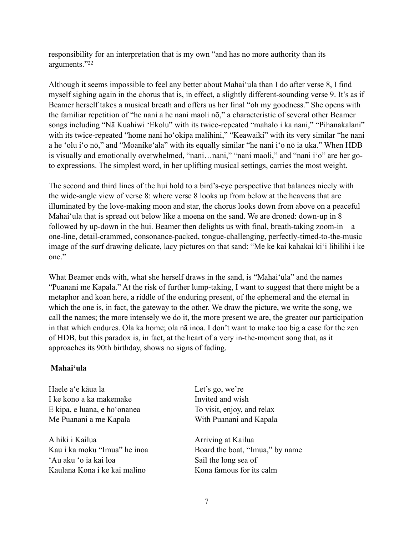<span id="page-6-0"></span>responsibility for an interpretation that is my own "and has no more authority than its arguments.["](#page-10-8)<sup>[22](#page-10-8)</sup>

Although it seems impossible to feel any better about Mahaiʻula than I do after verse 8, I find myself sighing again in the chorus that is, in effect, a slightly different-sounding verse 9. It's as if Beamer herself takes a musical breath and offers us her final "oh my goodness." She opens with the familiar repetition of "he nani a he nani maoli nō," a characteristic of several other Beamer songs including "Nā Kuahiwi ʻEkolu" with its twice-repeated "mahalo i ka nani," "Pihanakalani" with its twice-repeated "home nani hoʻokipa malihini," "Keawaiki" with its very similar "he nani a he ʻolu iʻo nō," and "Moanikeʻala" with its equally similar "he nani iʻo nō ia uka." When HDB is visually and emotionally overwhelmed, "nani…nani," "nani maoli," and "nani iʻo" are her goto expressions. The simplest word, in her uplifting musical settings, carries the most weight.

The second and third lines of the hui hold to a bird's-eye perspective that balances nicely with the wide-angle view of verse 8: where verse 8 looks up from below at the heavens that are illuminated by the love-making moon and star, the chorus looks down from above on a peaceful Mahaiʻula that is spread out below like a moena on the sand. We are droned: down-up in 8 followed by up-down in the hui. Beamer then delights us with final, breath-taking zoom-in –  $a$ one-line, detail-crammed, consonance-packed, tongue-challenging, perfectly-timed-to-the-music image of the surf drawing delicate, lacy pictures on that sand: "Me ke kai kahakai kiʻi lihilihi i ke one."

What Beamer ends with, what she herself draws in the sand, is "Mahaiʻula" and the names "Puanani me Kapala." At the risk of further lump-taking, I want to suggest that there might be a metaphor and koan here, a riddle of the enduring present, of the ephemeral and the eternal in which the one is, in fact, the gateway to the other. We draw the picture, we write the song, we call the names; the more intensely we do it, the more present we are, the greater our participation in that which endures. Ola ka home; ola nā inoa. I don't want to make too big a case for the zen of HDB, but this paradox is, in fact, at the heart of a very in-the-moment song that, as it approaches its 90th birthday, shows no signs of fading.

## **Mahaiʻula**

Haele a'e kāua la Let's go, we're I ke kono a ka makemake Invited and wish E kipa, e luana, e hoʻonanea To visit, enjoy, and relax Me Puanani a me Kapala With Puanani and Kapala A hiki i Kailua Arriving at Kailua Kau i ka moku "Imua" he inoa Board the boat, "Imua," by name ʻAu aku ʻo ia kai loa Sail the long sea of Kaulana Kona i ke kai malino Kona famous for its calm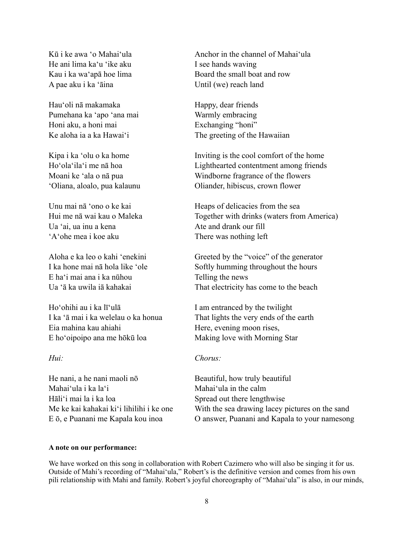He ani lima ka'u 'ike aku I see hands waying A pae aku i ka ʻāina Until (we) reach land

Hauʻoli nā makamaka Happy, dear friends Pumehana ka ʻapo ʻana mai Warmly embracing Honi aku, a honi mai Exchanging "honi"

Ua 'ai, ua inu a kena Ate and drank our fill ʻAʻohe mea i koe aku There was nothing left

E haʻi mai ana i ka nūhou Telling the news

Ho'ohihi au i ka lī'ulā I am entranced by the twilight Eia mahina kau ahiahi Here, evening moon rises, E hoʻoipoipo ana me hōkū loa Making love with Morning Star

He nani, a he nani maoli nō Beautiful, how truly beautiful Mahai'ula i ka la'i Mahai'ula in the calm Hāliʻi mai la i ka loa Spread out there lengthwise

Kū i ke awa 'o Mahai'ula Anchor in the channel of Mahai'ula Kau i ka wa'apā hoe lima Board the small boat and row

Ke aloha ia a ka Hawai'i The greeting of the Hawaiian

Kipa i ka 'olu o ka home Inviting is the cool comfort of the home Hoʻolaʻilaʻi me nā hoa Lighthearted contentment among friends Moani ke ʻala o nā pua Windborne fragrance of the flowers ʻOliana, aloalo, pua kalaunu Oliander, hibiscus, crown flower

Unu mai nā 'ono o ke kai Heaps of delicacies from the sea Hui me nā wai kau o Maleka Together with drinks (waters from America)

Aloha e ka leo o kahi ʻenekini Greeted by the "voice" of the generator I ka hone mai nā hola like 'ole Softly humming throughout the hours Ua ʻā ka uwila iā kahakai That electricity has come to the beach

I ka ʻā mai i ka welelau o ka honua That lights the very ends of the earth

## *Hui: Chorus:*

Me ke kai kahakai ki'i lihilihi i ke one With the sea drawing lacey pictures on the sand E ō, e Puanani me Kapala kou inoa O answer, Puanani and Kapala to your namesong

#### **A note on our performance:**

We have worked on this song in collaboration with Robert Cazimero who will also be singing it for us. Outside of Mahi's recording of "Mahaiʻula," Robert's is the definitive version and comes from his own pili relationship with Mahi and family. Robert's joyful choreography of "Mahaiʻula" is also, in our minds,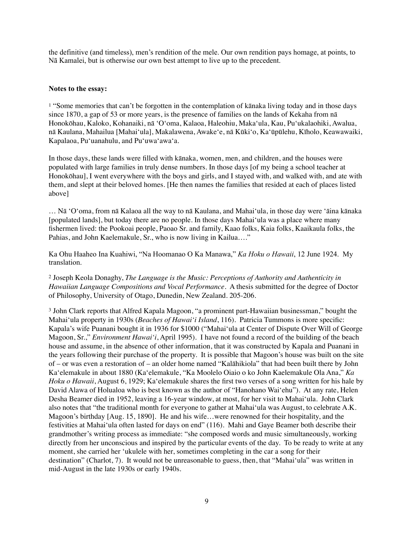the definitive (and timeless), men's rendition of the mele. Our own rendition pays homage, at points, to Nā Kamalei, but is otherwise our own best attempt to live up to the precedent.

### **Notes to the essay:**

<span id="page-8-0"></span><sup>[1](#page-0-0)</sup> "Some memories that can't be forgotten in the contemplation of kānaka living today and in those days since 1870, a gap of 53 or more years, is the presence of families on the lands of Kekaha from nā Honokōhau, Kaloko, Kohanaiki, nā ʻOʻoma, Kalaoa, Haleohiu, Makaʻula, Kau, Puʻukalaohiki, Awalua, nā Kaulana, Mahailua [Mahaiʻula], Makalawena, Awakeʻe, nā Kūkiʻo, Kaʻūpūlehu, Kīholo, Keawawaiki, Kapalaoa, Puʻuanahulu, and Puʻuwaʻawaʻa.

In those days, these lands were filled with kānaka, women, men, and children, and the houses were populated with large families in truly dense numbers. In those days [of my being a school teacher at Honokōhau], I went everywhere with the boys and girls, and I stayed with, and walked with, and ate with them, and slept at their beloved homes. [He then names the families that resided at each of places listed above]

… Nā ʻOʻoma, from nā Kalaoa all the way to nā Kaulana, and Mahaiʻula, in those day were ʻāina kānaka [populated lands], but today there are no people. In those days Mahaiʻula was a place where many fishermen lived: the Pookoai people, Paoao Sr. and family, Kaao folks, Kaia folks, Kaaikaula folks, the Pahias, and John Kaelemakule, Sr., who is now living in Kailua…."

Ka Ohu Haaheo Ina Kuahiwi, "Na Hoomanao O Ka Manawa," *Ka Hoku o Hawaii*, 12 June 1924. My translation.

<span id="page-8-1"></span> Joseph Keola Donaghy, *The Language is the Music: Perceptions of Authority and Authenticity in* [2](#page-0-1) *Hawaiian Language Compositions and Vocal Performance.* A thesis submitted for the degree of Doctor of Philosophy, University of Otago, Dunedin, New Zealand. 205-206.

<span id="page-8-2"></span><sup>3</sup>John Clark reports that Alfred Kapala Magoon, "a prominent part-Hawaiian businessman," bought the Mahaiʻula property in 1930s (*Beaches of Hawaiʻi Island*, 116). Patricia Tummons is more specific: Kapala's wife Puanani bought it in 1936 for \$1000 ("Mahaiʻula at Center of Dispute Over Will of George Magoon, Sr.," *Environment Hawaiʻi*, April 1995). I have not found a record of the building of the beach house and assume, in the absence of other information, that it was constructed by Kapala and Puanani in the years following their purchase of the property. It is possible that Magoon's house was built on the site of – or was even a restoration of – an older home named "Kalāhikiola" that had been built there by John Kaʻelemakule in about 1880 (Kaʻelemakule, "Ka Moolelo Oiaio o ko John Kaelemakule Ola Ana," *Ka Hoku o Hawaii*, August 6, 1929; Kaʻelemakule shares the first two verses of a song written for his hale by David Alawa of Holualoa who is best known as the author of "Hanohano Waiʻehu"). At any rate, Helen Desha Beamer died in 1952, leaving a 16-year window, at most, for her visit to Mahaiʻula. John Clark also notes that "the traditional month for everyone to gather at Mahaiʻula was August, to celebrate A.K. Magoon's birthday [Aug. 15, 1890]. He and his wife…were renowned for their hospitality, and the festivities at Mahaiʻula often lasted for days on end" (116). Mahi and Gaye Beamer both describe their grandmother's writing process as immediate: "she composed words and music simultaneously, working directly from her unconscious and inspired by the particular events of the day. To be ready to write at any moment, she carried her ʻukulele with her, sometimes completing in the car a song for their destination" (Charlot, 7). It would not be unreasonable to guess, then, that "Mahaiʻula" was written in mid-August in the late 1930s or early 1940s.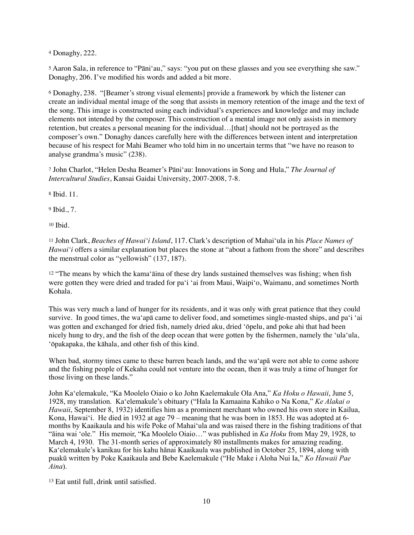<span id="page-9-0"></span><sup>[4](#page-1-0)</sup> Donaghy, 222.

<span id="page-9-1"></span><sup>[5](#page-1-1)</sup> Aaron Sala, in reference to "Pāni'au," says: "you put on these glasses and you see everything she saw." Donaghy, 206. I've modified his words and added a bit more.

<span id="page-9-2"></span>Donaghy, 238. "[Beamer's strong visual elements] provide a framework by which the listener can [6](#page-1-2) create an individual mental image of the song that assists in memory retention of the image and the text of the song. This image is constructed using each individual's experiences and knowledge and may include elements not intended by the composer. This construction of a mental image not only assists in memory retention, but creates a personal meaning for the individual…[that] should not be portrayed as the composer's own." Donaghy dances carefully here with the differences between intent and interpretation because of his respect for Mahi Beamer who told him in no uncertain terms that "we have no reason to analyse grandma's music" (238).

<span id="page-9-3"></span> John Charlot, "Helen Desha Beamer's Pāniʻau: Innovations in Song and Hula," *The Journal of* [7](#page-2-0) *Intercultural Studies*, Kansai Gaidai University, 2007-2008, 7-8.

<span id="page-9-4"></span><sup>[8](#page-3-0)</sup> Ibid. 11.

<span id="page-9-5"></span> $9$ Ibid., 7.

<span id="page-9-6"></span> $10$  Ibid.

<span id="page-9-7"></span> John Clark, *Beaches of Hawaiʻi Island*, 117. Clark's description of Mahaiʻula in his *Place Names of* [11](#page-3-3) *Hawai*<sup>'</sup>*i* offers a similar explanation but places the stone at "about a fathom from the shore" and describes the menstrual color as "yellowish" (137, 187).

<span id="page-9-8"></span> $12$  "The means by which the kama' $\bar{a}$ ina of these dry lands sustained themselves was fishing; when fish were gotten they were dried and traded for paʻi ʻai from Maui, Waipiʻo, Waimanu, and sometimes North Kohala.

This was very much a land of hunger for its residents, and it was only with great patience that they could survive. In good times, the waʻapā came to deliver food, and sometimes single-masted ships, and paʻi ʻai was gotten and exchanged for dried fish, namely dried aku, dried ʻōpelu, and poke ahi that had been nicely hung to dry, and the fish of the deep ocean that were gotten by the fishermen, namely the ʻulaʻula, ʻōpakapaka, the kāhala, and other fish of this kind.

When bad, stormy times came to these barren beach lands, and the waʻapā were not able to come ashore and the fishing people of Kekaha could not venture into the ocean, then it was truly a time of hunger for those living on these lands."

John Kaʻelemakule, "Ka Moolelo Oiaio o ko John Kaelemakule Ola Ana," *Ka Hoku o Hawaii*, June 5, 1928, my translation. Kaʻelemakule's obituary ("Hala Ia Kamaaina Kahiko o Na Kona," *Ke Alakai o Hawaii*, September 8, 1932) identifies him as a prominent merchant who owned his own store in Kailua, Kona, Hawaiʻi. He died in 1932 at age 79 – meaning that he was born in 1853. He was adopted at 6 months by Kaaikaula and his wife Poke of Mahaiʻula and was raised there in the fishing traditions of that "āina wai ʻole." His memoir, "Ka Moolelo Oiaio…" was published in *Ka Hoku* from May 29, 1928, to March 4, 1930. The 31-month series of approximately 80 installments makes for amazing reading. Kaʻelemakule's kanikau for his kahu hānai Kaaikaula was published in October 25, 1894, along with puakū written by Poke Kaaikaula and Bebe Kaelemakule ("He Make i Aloha Nui Ia," *Ko Hawaii Pae Aina*).

<span id="page-9-9"></span> $13$  Eat until full, drink until satisfied.